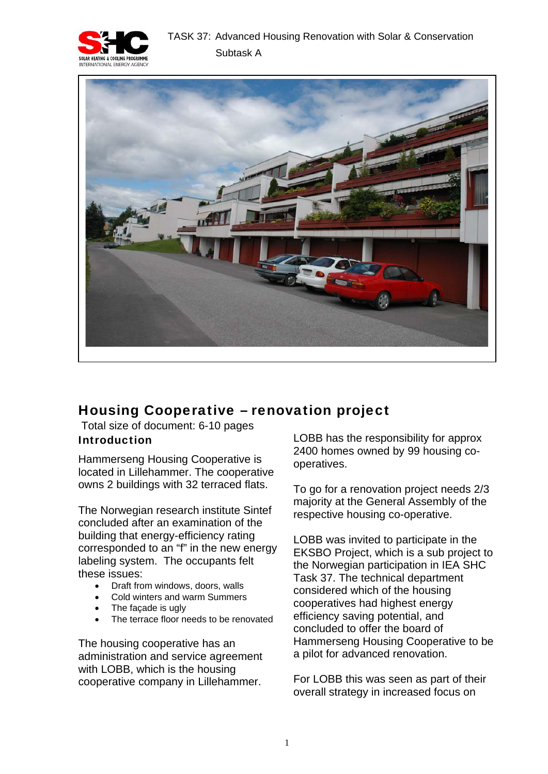



# Housing Cooperative – renovation project

 Total size of document: 6-10 pages Introduction

Hammerseng Housing Cooperative is located in Lillehammer. The cooperative owns 2 buildings with 32 terraced flats.

The Norwegian research institute Sintef concluded after an examination of the building that energy-efficiency rating corresponded to an "f" in the new energy labeling system. The occupants felt these issues:

- Draft from windows, doors, walls
- Cold winters and warm Summers
- The facade is ugly
- The terrace floor needs to be renovated

The housing cooperative has an administration and service agreement with LOBB, which is the housing cooperative company in Lillehammer.

LOBB has the responsibility for approx 2400 homes owned by 99 housing cooperatives.

To go for a renovation project needs 2/3 majority at the General Assembly of the respective housing co-operative.

LOBB was invited to participate in the EKSBO Project, which is a sub project to the Norwegian participation in IEA SHC Task 37. The technical department considered which of the housing cooperatives had highest energy efficiency saving potential, and concluded to offer the board of Hammerseng Housing Cooperative to be a pilot for advanced renovation.

For LOBB this was seen as part of their overall strategy in increased focus on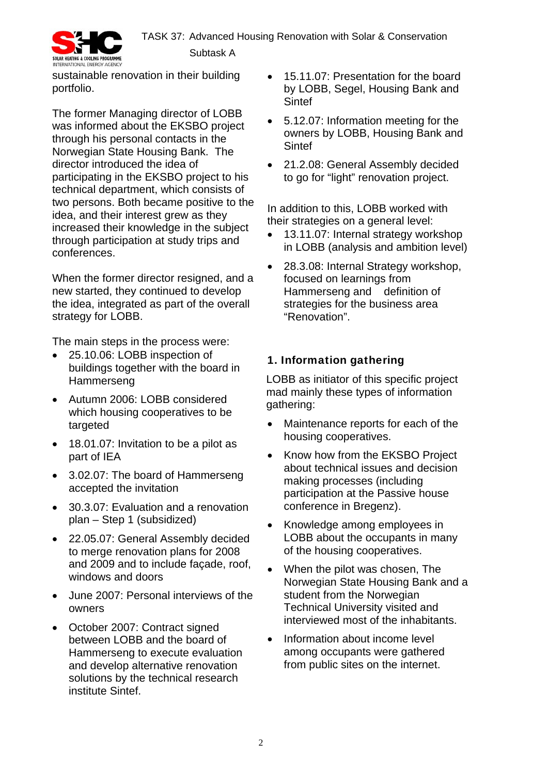

sustainable renovation in their building portfolio.

The former Managing director of LOBB was informed about the EKSBO project through his personal contacts in the Norwegian State Housing Bank. The director introduced the idea of participating in the EKSBO project to his technical department, which consists of two persons. Both became positive to the idea, and their interest grew as they increased their knowledge in the subject through participation at study trips and conferences.

When the former director resigned, and a new started, they continued to develop the idea, integrated as part of the overall strategy for LOBB.

The main steps in the process were:

- 25.10.06: LOBB inspection of buildings together with the board in Hammerseng
- Autumn 2006: LOBB considered which housing cooperatives to be targeted
- 18.01.07: Invitation to be a pilot as part of IEA
- 3.02.07: The board of Hammerseng accepted the invitation
- 30.3.07: Evaluation and a renovation plan – Step 1 (subsidized)
- 22.05.07: General Assembly decided to merge renovation plans for 2008 and 2009 and to include façade, roof, windows and doors
- June 2007: Personal interviews of the owners
- October 2007: Contract signed between LOBB and the board of Hammerseng to execute evaluation and develop alternative renovation solutions by the technical research institute Sintef.
- 15.11.07: Presentation for the board by LOBB, Segel, Housing Bank and **Sintef**
- 5.12.07: Information meeting for the owners by LOBB, Housing Bank and **Sintef**
- 21.2.08: General Assembly decided to go for "light" renovation project.

In addition to this, LOBB worked with their strategies on a general level:

- 13.11.07: Internal strategy workshop in LOBB (analysis and ambition level)
- 28.3.08: Internal Strategy workshop, focused on learnings from Hammerseng and definition of strategies for the business area "Renovation".

## 1. Information gathering

LOBB as initiator of this specific project mad mainly these types of information gathering:

- Maintenance reports for each of the housing cooperatives.
- Know how from the EKSBO Project about technical issues and decision making processes (including participation at the Passive house conference in Bregenz).
- Knowledge among employees in LOBB about the occupants in many of the housing cooperatives.
- When the pilot was chosen. The Norwegian State Housing Bank and a student from the Norwegian Technical University visited and interviewed most of the inhabitants.
- Information about income level among occupants were gathered from public sites on the internet.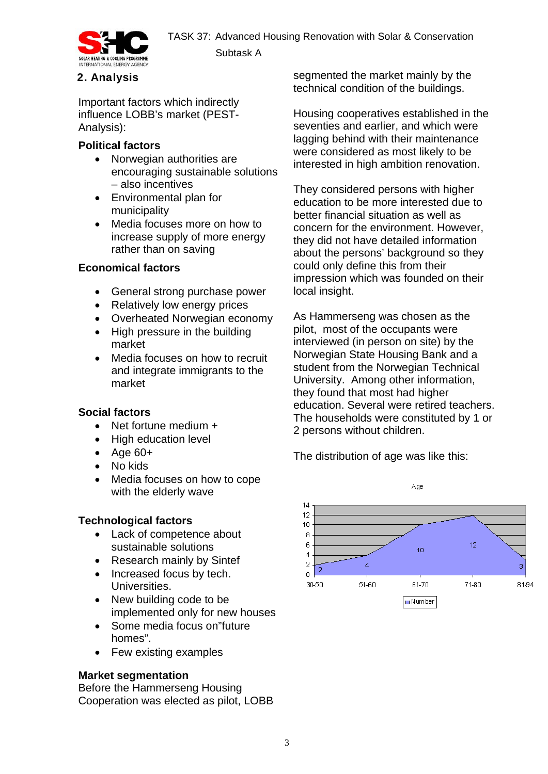

## 2. Analysis

Important factors which indirectly influence LOBB's market (PEST-Analysis):

### **Political factors**

• Norwegian authorities are encouraging sustainable solutions – also incentives

Subtask A

- Environmental plan for municipality
- Media focuses more on how to increase supply of more energy rather than on saving

#### **Economical factors**

- General strong purchase power
- Relatively low energy prices
- Overheated Norwegian economy
- High pressure in the building market
- Media focuses on how to recruit and integrate immigrants to the market

## **Social factors**

- Net fortune medium +
- High education level
- Age 60+
- No kids
- Media focuses on how to cope with the elderly wave

## **Technological factors**

- Lack of competence about sustainable solutions
- Research mainly by Sintef
- Increased focus by tech. Universities.
- New building code to be implemented only for new houses
- Some media focus on"future homes".
- Few existing examples

## **Market segmentation**

Before the Hammerseng Housing Cooperation was elected as pilot, LOBB

segmented the market mainly by the technical condition of the buildings.

Housing cooperatives established in the seventies and earlier, and which were lagging behind with their maintenance were considered as most likely to be interested in high ambition renovation.

They considered persons with higher education to be more interested due to better financial situation as well as concern for the environment. However, they did not have detailed information about the persons' background so they could only define this from their impression which was founded on their local insight.

As Hammerseng was chosen as the pilot, most of the occupants were interviewed (in person on site) by the Norwegian State Housing Bank and a student from the Norwegian Technical University. Among other information, they found that most had higher education. Several were retired teachers. The households were constituted by 1 or 2 persons without children.

The distribution of age was like this:

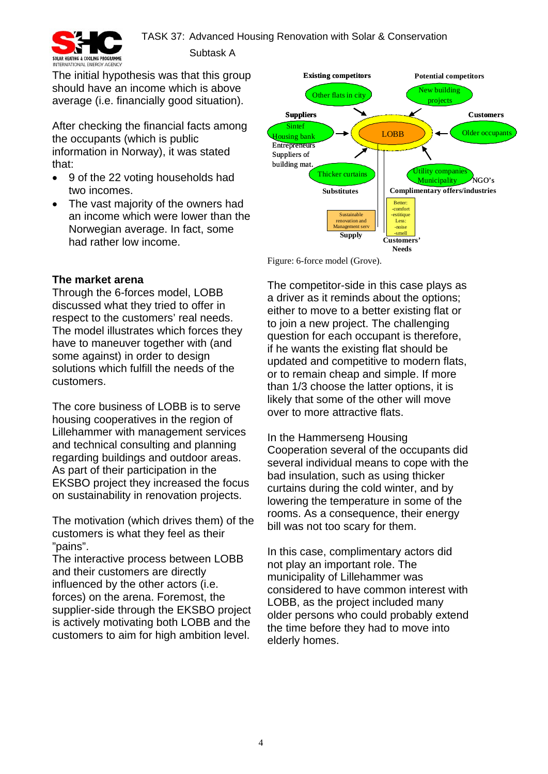

Subtask A

The initial hypothesis was that this group should have an income which is above average (i.e. financially good situation).

After checking the financial facts among the occupants (which is public information in Norway), it was stated that:

- 9 of the 22 voting households had two incomes.
- The vast majority of the owners had an income which were lower than the Norwegian average. In fact, some had rather low income.



Figure: 6-force model (Grove).

#### **The market arena**

Through the 6-forces model, LOBB discussed what they tried to offer in respect to the customers' real needs. The model illustrates which forces they have to maneuver together with (and some against) in order to design solutions which fulfill the needs of the customers.

The core business of LOBB is to serve housing cooperatives in the region of Lillehammer with management services and technical consulting and planning regarding buildings and outdoor areas. As part of their participation in the EKSBO project they increased the focus on sustainability in renovation projects.

The motivation (which drives them) of the customers is what they feel as their "pains".

The interactive process between LOBB and their customers are directly influenced by the other actors (i.e. forces) on the arena. Foremost, the supplier-side through the EKSBO project is actively motivating both LOBB and the customers to aim for high ambition level.

The competitor-side in this case plays as a driver as it reminds about the options; either to move to a better existing flat or to join a new project. The challenging question for each occupant is therefore, if he wants the existing flat should be updated and competitive to modern flats, or to remain cheap and simple. If more than 1/3 choose the latter options, it is likely that some of the other will move over to more attractive flats.

In the Hammerseng Housing Cooperation several of the occupants did several individual means to cope with the bad insulation, such as using thicker curtains during the cold winter, and by lowering the temperature in some of the rooms. As a consequence, their energy bill was not too scary for them.

In this case, complimentary actors did not play an important role. The municipality of Lillehammer was considered to have common interest with LOBB, as the project included many older persons who could probably extend the time before they had to move into elderly homes.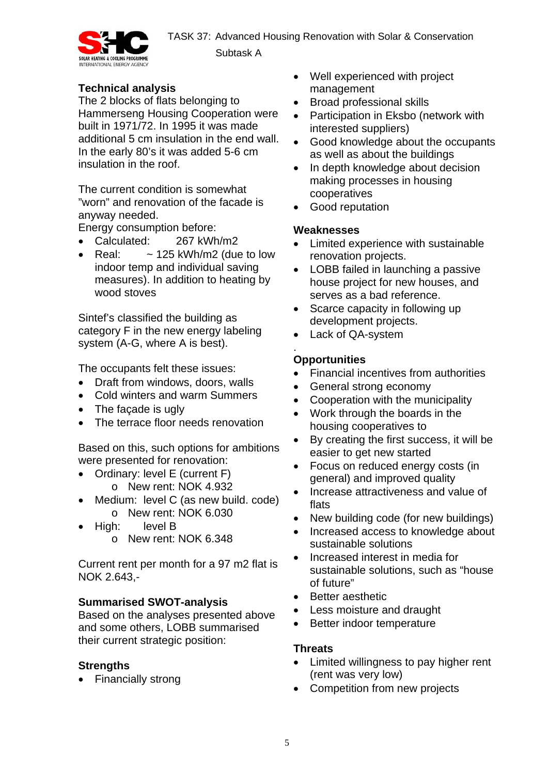TASK 37: Advanced Housing Renovation with Solar & Conservation Subtask A



## **Technical analysis**

The 2 blocks of flats belonging to Hammerseng Housing Cooperation were built in 1971/72. In 1995 it was made additional 5 cm insulation in the end wall. In the early 80's it was added 5-6 cm insulation in the roof.

The current condition is somewhat "worn" and renovation of the facade is anyway needed.

Energy consumption before:

- Calculated: 267 kWh/m2
- Real:  $\sim$  125 kWh/m2 (due to low indoor temp and individual saving measures). In addition to heating by wood stoves

Sintef's classified the building as category F in the new energy labeling system (A-G, where A is best).

The occupants felt these issues:

- Draft from windows, doors, walls
- Cold winters and warm Summers
- The facade is ugly
- The terrace floor needs renovation

Based on this, such options for ambitions were presented for renovation:

- Ordinary: level E (current F) o New rent: NOK 4.932
- Medium: level C (as new build. code) o New rent: NOK 6.030
- High: level B
	- o New rent: NOK 6.348

Current rent per month for a 97 m2 flat is NOK 2.643,-

## **Summarised SWOT-analysis**

Based on the analyses presented above and some others, LOBB summarised their current strategic position:

## **Strengths**

• Financially strong

- Well experienced with project management
- Broad professional skills
- Participation in Eksbo (network with interested suppliers)
- Good knowledge about the occupants as well as about the buildings
- In depth knowledge about decision making processes in housing cooperatives
- Good reputation

## **Weaknesses**

- Limited experience with sustainable renovation projects.
- LOBB failed in launching a passive house project for new houses, and serves as a bad reference.
- Scarce capacity in following up development projects.
- Lack of QA-system

#### . **Opportunities**

- Financial incentives from authorities
- General strong economy
- Cooperation with the municipality
- Work through the boards in the housing cooperatives to
- By creating the first success, it will be easier to get new started
- Focus on reduced energy costs (in general) and improved quality
- Increase attractiveness and value of flats
- New building code (for new buildings)
- Increased access to knowledge about sustainable solutions
- Increased interest in media for sustainable solutions, such as "house of future"
- Better aesthetic
- Less moisture and draught
- Better indoor temperature

## **Threats**

- Limited willingness to pay higher rent (rent was very low)
- Competition from new projects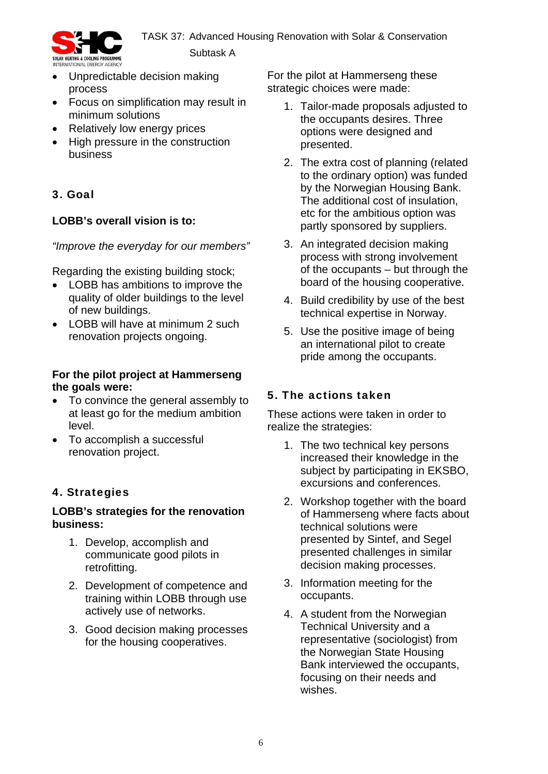

- Unpredictable decision making process
- Focus on simplification may result in minimum solutions
- Relatively low energy prices
- High pressure in the construction business

# 3. Goal

## **LOBB's overall vision is to:**

*"Improve the everyday for our members"* 

Regarding the existing building stock;

- LOBB has ambitions to improve the quality of older buildings to the level of new buildings.
- LOBB will have at minimum 2 such renovation projects ongoing.

## **For the pilot project at Hammerseng the goals were:**

- To convince the general assembly to at least go for the medium ambition level.
- To accomplish a successful renovation project.

# 4. Strategies

## **LOBB's strategies for the renovation business:**

- 1. Develop, accomplish and communicate good pilots in retrofitting.
- 2. Development of competence and training within LOBB through use actively use of networks.
- 3. Good decision making processes for the housing cooperatives.

For the pilot at Hammerseng these strategic choices were made:

- 1. Tailor-made proposals adjusted to the occupants desires. Three options were designed and presented.
- 2. The extra cost of planning (related to the ordinary option) was funded by the Norwegian Housing Bank. The additional cost of insulation, etc for the ambitious option was partly sponsored by suppliers.
- 3. An integrated decision making process with strong involvement of the occupants – but through the board of the housing cooperative.
- 4. Build credibility by use of the best technical expertise in Norway.
- 5. Use the positive image of being an international pilot to create pride among the occupants.

## 5. The actions taken

These actions were taken in order to realize the strategies:

- 1. The two technical key persons increased their knowledge in the subject by participating in EKSBO. excursions and conferences.
- 2. Workshop together with the board of Hammerseng where facts about technical solutions were presented by Sintef, and Segel presented challenges in similar decision making processes.
- 3. Information meeting for the occupants.
- 4. A student from the Norwegian Technical University and a representative (sociologist) from the Norwegian State Housing Bank interviewed the occupants, focusing on their needs and wishes.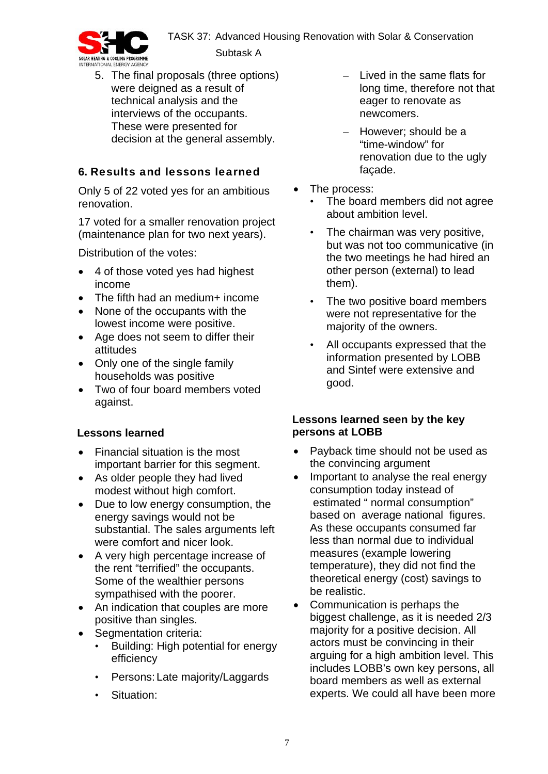TASK 37: Advanced Housing Renovation with Solar & Conservation



Subtask A

5. The final proposals (three options) were deigned as a result of technical analysis and the interviews of the occupants. These were presented for decision at the general assembly.

# **6.** Results and lessons learned

Only 5 of 22 voted yes for an ambitious renovation.

17 voted for a smaller renovation project (maintenance plan for two next years).

Distribution of the votes:

- 4 of those voted yes had highest income
- The fifth had an medium+ income
- None of the occupants with the lowest income were positive.
- Age does not seem to differ their attitudes
- Only one of the single family households was positive
- Two of four board members voted against.

# **Lessons learned**

- Financial situation is the most important barrier for this segment.
- As older people they had lived modest without high comfort.
- Due to low energy consumption, the energy savings would not be substantial. The sales arguments left were comfort and nicer look.
- A very high percentage increase of the rent "terrified" the occupants. Some of the wealthier persons sympathised with the poorer.
- An indication that couples are more positive than singles.
- Seamentation criteria:
	- Building: High potential for energy efficiency
	- Persons: Late majority/Laggards
	- Situation:
- Lived in the same flats for long time, therefore not that eager to renovate as newcomers.
- However; should be a "time-window" for renovation due to the ugly façade.
- The process:
	- The board members did not agree about ambition level.
	- The chairman was very positive, but was not too communicative (in the two meetings he had hired an other person (external) to lead them).
	- The two positive board members were not representative for the majority of the owners.
	- All occupants expressed that the information presented by LOBB and Sintef were extensive and good.

## **Lessons learned seen by the key persons at LOBB**

- Payback time should not be used as the convincing argument
- Important to analyse the real energy consumption today instead of estimated " normal consumption" based on average national figures. As these occupants consumed far less than normal due to individual measures (example lowering temperature), they did not find the theoretical energy (cost) savings to be realistic.
- Communication is perhaps the biggest challenge, as it is needed 2/3 majority for a positive decision. All actors must be convincing in their arguing for a high ambition level. This includes LOBB's own key persons, all board members as well as external experts. We could all have been more